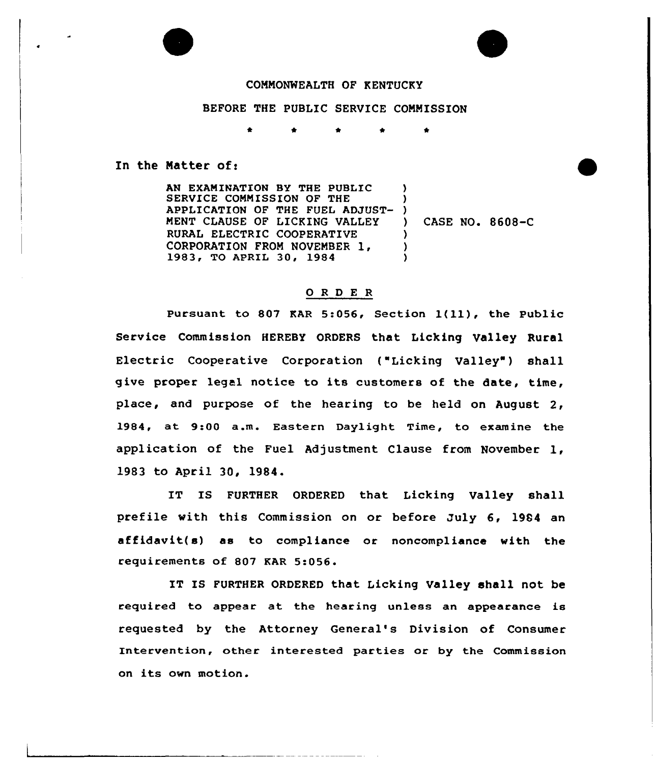## COMMONWEALTH OF KENTUCKY

## BEFORE THE PUBLIC SERVICE COMMISSION

\* \* \* \*

In the Matter of:

AN EXAMINATION BY THE PUBLIC SERVICE COMMISSION OF THE SERVICE COMMISSION OF THE TUBLE ADJUST-MENT CLAUSE OF LICKING VALLEY RURAL ELECTRIC COOPERATIVE CORPORATION FROM NOVEMBER 1, 1983, TO APRIL 30, 1984 ) ) ) CASE NO. 8608-C ) )  $\lambda$ 

## ORDER

Pursuant to <sup>807</sup> KAR 5:056, Section 1(ll), the Public Service Commission HEREBY ORDERS that Licking Valley Rural Electric Cooperative Corporation ("Licking Valley") shall give proper legal notice to its customers of the date, time, place, and purpose of the hearing to be held on August 2, 1984, at 9:00 a.m. Eastern Daylight Time, to examine the application of the Fuel Adjustment Clause from November 1, 1983 to April 30, 1984.

IT IS FURTHER ORDERED that Licking Valley shall prefile with this Commission on or before July 6, 19S4 an affidavit(s) as to compliance or noncompliance with the requirements of 807 KAR 5:056.

IT IS FURTHER ORDERED that Licking Valley shall not be required to appear at the hearing unless an appearance is requested by the Attorney General's Division of Consumer Intervention, other interested parties or by the Commission on its own motion.